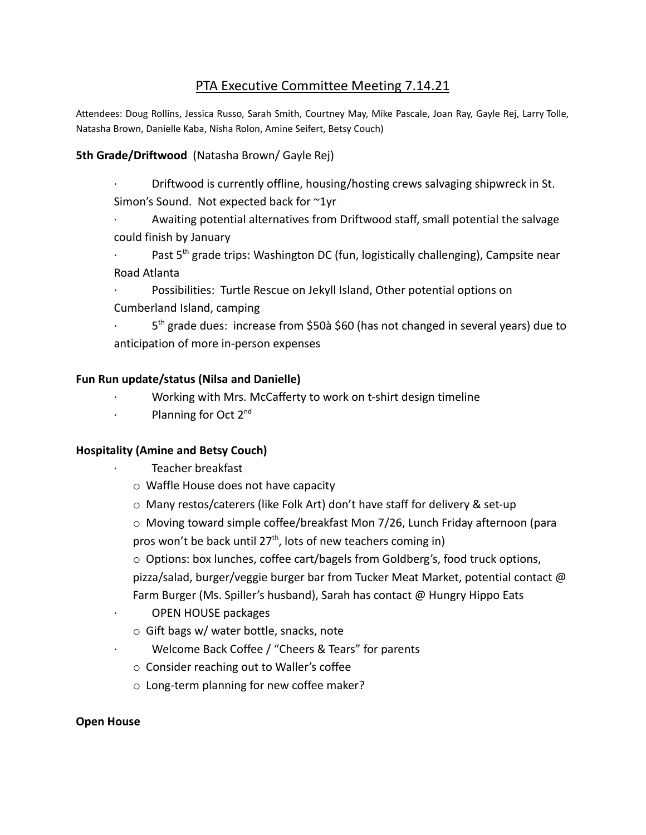# PTA Executive Committee Meeting 7.14.21

Attendees: Doug Rollins, Jessica Russo, Sarah Smith, Courtney May, Mike Pascale, Joan Ray, Gayle Rej, Larry Tolle, Natasha Brown, Danielle Kaba, Nisha Rolon, Amine Seifert, Betsy Couch)

#### **5th Grade/Driftwood** (Natasha Brown/ Gayle Rej)

- · Driftwood is currently offline, housing/hosting crews salvaging shipwreck in St. Simon's Sound. Not expected back for ~1yr
- Awaiting potential alternatives from Driftwood staff, small potential the salvage could finish by January
- $\cdot$  Past 5<sup>th</sup> grade trips: Washington DC (fun, logistically challenging), Campsite near Road Atlanta
- Possibilities: Turtle Rescue on Jekyll Island, Other potential options on Cumberland Island, camping
- $\cdot$  5<sup>th</sup> grade dues: increase from \$50à \$60 (has not changed in several years) due to anticipation of more in-person expenses

#### **Fun Run update/status (Nilsa and Danielle)**

- · Working with Mrs. McCafferty to work on t-shirt design timeline
- $\cdot$  Planning for Oct 2<sup>nd</sup>

#### **Hospitality (Amine and Betsy Couch)**

- Teacher breakfast
- o Waffle House does not have capacity
- o Many restos/caterers (like Folk Art) don't have staff for delivery & set-up
- o Moving toward simple coffee/breakfast Mon 7/26, Lunch Friday afternoon (para pros won't be back until 27<sup>th</sup>, lots of new teachers coming in)
- $\circ$  Options: box lunches, coffee cart/bagels from Goldberg's, food truck options, pizza/salad, burger/veggie burger bar from Tucker Meat Market, potential contact @ Farm Burger (Ms. Spiller's husband), Sarah has contact @ Hungry Hippo Eats
- · OPEN HOUSE packages
- o Gift bags w/ water bottle, snacks, note
- Welcome Back Coffee / "Cheers & Tears" for parents
- o Consider reaching out to Waller's coffee
- o Long-term planning for new coffee maker?

#### **Open House**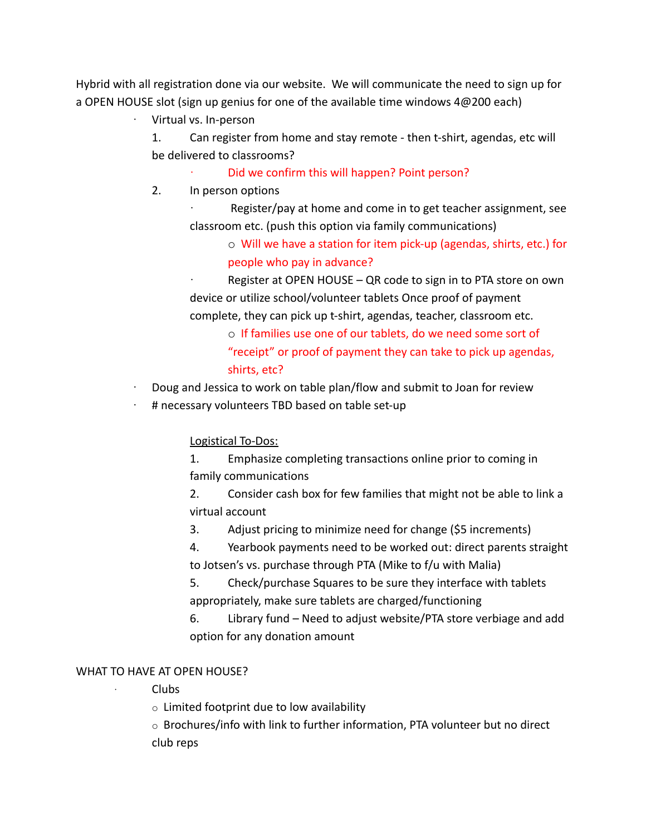Hybrid with all registration done via our website. We will communicate the need to sign up for a OPEN HOUSE slot (sign up genius for one of the available time windows 4@200 each)

· Virtual vs. In-person

1. Can register from home and stay remote - then t-shirt, agendas, etc will be delivered to classrooms?

- Did we confirm this will happen? Point person?
- 2. In person options

Register/pay at home and come in to get teacher assignment, see classroom etc. (push this option via family communications)

> o Will we have a station for item pick-up (agendas, shirts, etc.) for people who pay in advance?

Register at OPEN HOUSE – QR code to sign in to PTA store on own device or utilize school/volunteer tablets Once proof of payment complete, they can pick up t-shirt, agendas, teacher, classroom etc.

o If families use one of our tablets, do we need some sort of "receipt" or proof of payment they can take to pick up agendas, shirts, etc?

- · Doug and Jessica to work on table plan/flow and submit to Joan for review
- # necessary volunteers TBD based on table set-up

## Logistical To-Dos:

1. Emphasize completing transactions online prior to coming in family communications

2. Consider cash box for few families that might not be able to link a virtual account

3. Adjust pricing to minimize need for change (\$5 increments)

4. Yearbook payments need to be worked out: direct parents straight to Jotsen's vs. purchase through PTA (Mike to f/u with Malia)

5. Check/purchase Squares to be sure they interface with tablets appropriately, make sure tablets are charged/functioning

6. Library fund – Need to adjust website/PTA store verbiage and add option for any donation amount

# WHAT TO HAVE AT OPEN HOUSE?

## · Clubs

 $\circ$  Limited footprint due to low availability

 $\circ$  Brochures/info with link to further information, PTA volunteer but no direct club reps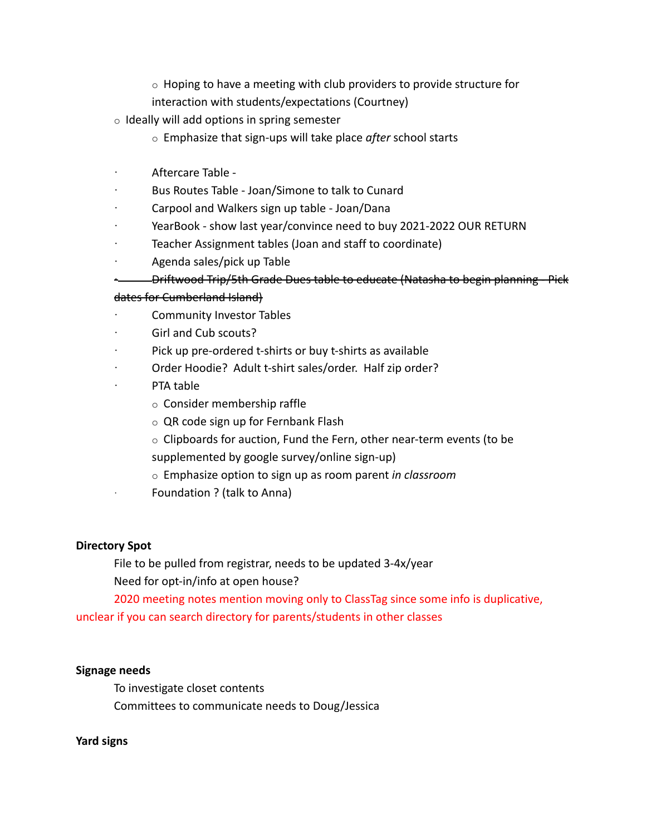- $\circ$  Hoping to have a meeting with club providers to provide structure for
- interaction with students/expectations (Courtney)
- $\circ$  Ideally will add options in spring semester
	- o Emphasize that sign-ups will take place *after* school starts
- · Aftercare Table -
- Bus Routes Table Joan/Simone to talk to Cunard
- · Carpool and Walkers sign up table Joan/Dana
- YearBook show last year/convince need to buy 2021-2022 OUR RETURN
- Teacher Assignment tables (Joan and staff to coordinate)
- · Agenda sales/pick up Table
	- · Driftwood Trip/5th Grade Dues table to educate (Natasha to begin planning Pick

#### dates for Cumberland Island)

- Community Investor Tables
- Girl and Cub scouts?
- Pick up pre-ordered t-shirts or buy t-shirts as available
- Order Hoodie? Adult t-shirt sales/order. Half zip order?
- PTA table
	- o Consider membership raffle
	- o QR code sign up for Fernbank Flash
	- $\circ$  Clipboards for auction, Fund the Fern, other near-term events (to be supplemented by google survey/online sign-up)
	- o Emphasize option to sign up as room parent *in classroom*
	- Foundation ? (talk to Anna)

#### **Directory Spot**

File to be pulled from registrar, needs to be updated 3-4x/year Need for opt-in/info at open house?

2020 meeting notes mention moving only to ClassTag since some info is duplicative, unclear if you can search directory for parents/students in other classes

#### **Signage needs**

To investigate closet contents Committees to communicate needs to Doug/Jessica

#### **Yard signs**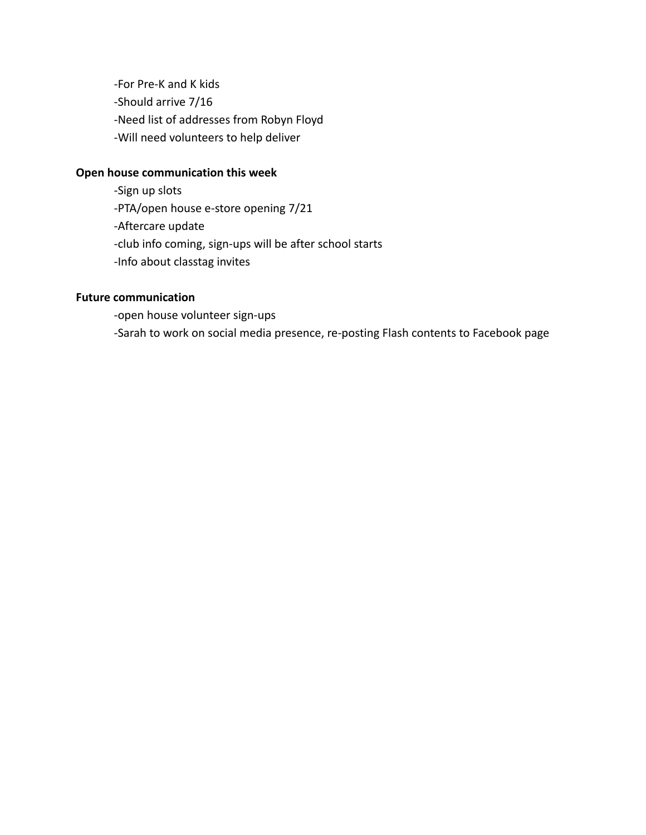-For Pre-K and K kids -Should arrive 7/16 -Need list of addresses from Robyn Floyd -Will need volunteers to help deliver

#### **Open house communication this week**

-Sign up slots -PTA/open house e-store opening 7/21 -Aftercare update -club info coming, sign-ups will be after school starts -Info about classtag invites

# **Future communication**

-open house volunteer sign-ups -Sarah to work on social media presence, re-posting Flash contents to Facebook page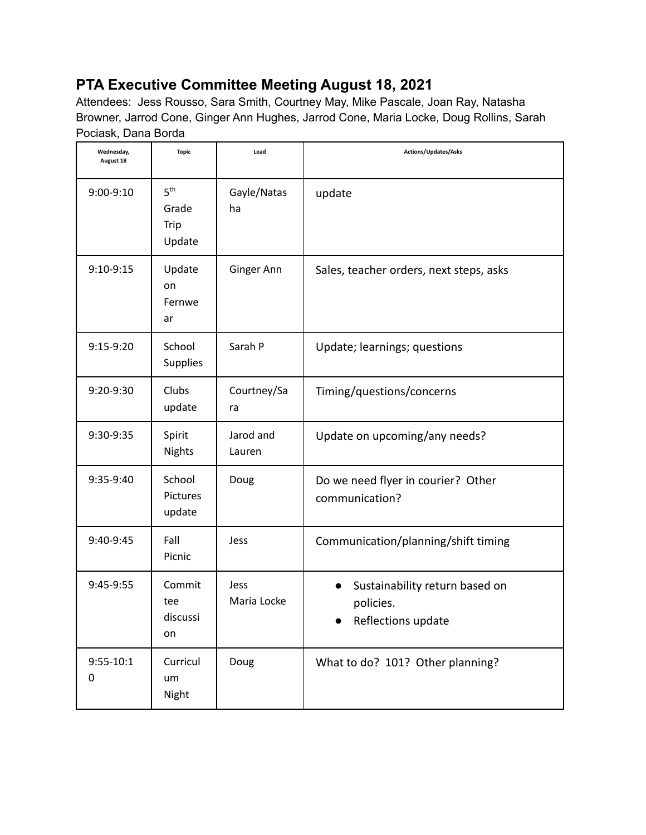# **PTA Executive Committee Meeting August 18, 2021**

Attendees: Jess Rousso, Sara Smith, Courtney May, Mike Pascale, Joan Ray, Natasha Browner, Jarrod Cone, Ginger Ann Hughes, Jarrod Cone, Maria Locke, Doug Rollins, Sarah Pociask, Dana Borda

| Wednesday,<br>August 18 | <b>Topic</b>                               | Lead                | Actions/Updates/Asks                                              |
|-------------------------|--------------------------------------------|---------------------|-------------------------------------------------------------------|
| 9:00-9:10               | 5 <sup>th</sup><br>Grade<br>Trip<br>Update | Gayle/Natas<br>ha   | update                                                            |
| 9:10-9:15               | Update<br>on<br>Fernwe<br>ar               | Ginger Ann          | Sales, teacher orders, next steps, asks                           |
| 9:15-9:20               | School<br><b>Supplies</b>                  | Sarah P             | Update; learnings; questions                                      |
| 9:20-9:30               | Clubs<br>update                            | Courtney/Sa<br>ra   | Timing/questions/concerns                                         |
| 9:30-9:35               | Spirit<br><b>Nights</b>                    | Jarod and<br>Lauren | Update on upcoming/any needs?                                     |
| 9:35-9:40               | School<br>Pictures<br>update               | Doug                | Do we need flyer in courier? Other<br>communication?              |
| 9:40-9:45               | Fall<br>Picnic                             | Jess                | Communication/planning/shift timing                               |
| 9:45-9:55               | Commit<br>tee<br>discussi<br>on            | Jess<br>Maria Locke | Sustainability return based on<br>policies.<br>Reflections update |
| $9:55 - 10:1$<br>0      | Curricul<br>um<br>Night                    | Doug                | What to do? 101? Other planning?                                  |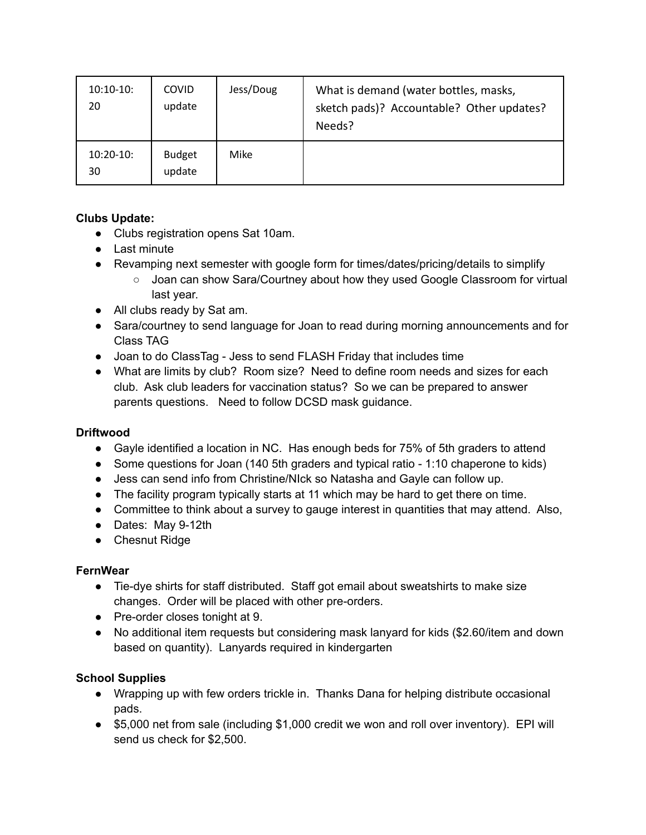| $10:10-10:$<br>20 | <b>COVID</b><br>update  | Jess/Doug | What is demand (water bottles, masks,<br>sketch pads)? Accountable? Other updates?<br>Needs? |
|-------------------|-------------------------|-----------|----------------------------------------------------------------------------------------------|
| $10:20-10:$<br>30 | <b>Budget</b><br>update | Mike      |                                                                                              |

# **Clubs Update:**

- Clubs registration opens Sat 10am.
- Last minute
- Revamping next semester with google form for times/dates/pricing/details to simplify
	- Joan can show Sara/Courtney about how they used Google Classroom for virtual last year.
- All clubs ready by Sat am.
- Sara/courtney to send language for Joan to read during morning announcements and for Class TAG
- Joan to do ClassTag Jess to send FLASH Friday that includes time
- What are limits by club? Room size? Need to define room needs and sizes for each club. Ask club leaders for vaccination status? So we can be prepared to answer parents questions. Need to follow DCSD mask guidance.

## **Driftwood**

- Gayle identified a location in NC. Has enough beds for 75% of 5th graders to attend
- Some questions for Joan (140 5th graders and typical ratio 1:10 chaperone to kids)
- Jess can send info from Christine/NIck so Natasha and Gayle can follow up.
- The facility program typically starts at 11 which may be hard to get there on time.
- Committee to think about a survey to gauge interest in quantities that may attend. Also,
- Dates: May 9-12th
- Chesnut Ridge

## **FernWear**

- Tie-dye shirts for staff distributed. Staff got email about sweatshirts to make size changes. Order will be placed with other pre-orders.
- Pre-order closes tonight at 9.
- No additional item requests but considering mask lanyard for kids (\$2.60/item and down based on quantity). Lanyards required in kindergarten

## **School Supplies**

- Wrapping up with few orders trickle in. Thanks Dana for helping distribute occasional pads.
- \$5,000 net from sale (including \$1,000 credit we won and roll over inventory). EPI will send us check for \$2,500.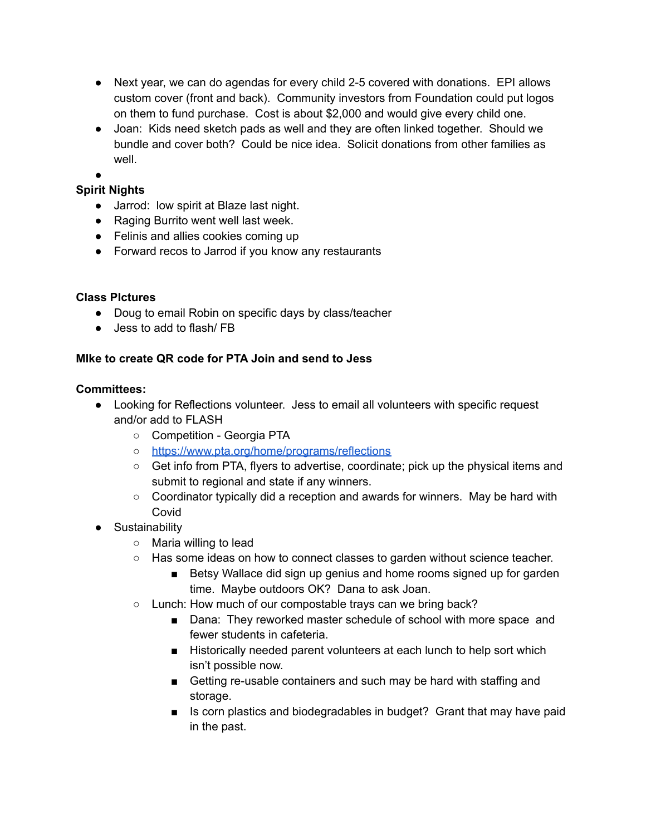- Next year, we can do agendas for every child 2-5 covered with donations. EPI allows custom cover (front and back). Community investors from Foundation could put logos on them to fund purchase. Cost is about \$2,000 and would give every child one.
- Joan: Kids need sketch pads as well and they are often linked together. Should we bundle and cover both? Could be nice idea. Solicit donations from other families as well
- ●

# **Spirit Nights**

- Jarrod: low spirit at Blaze last night.
- Raging Burrito went well last week.
- Felinis and allies cookies coming up
- Forward recos to Jarrod if you know any restaurants

#### **Class PIctures**

- Doug to email Robin on specific days by class/teacher
- Jess to add to flash/ FB

## **MIke to create QR code for PTA Join and send to Jess**

#### **Committees:**

- Looking for Reflections volunteer. Jess to email all volunteers with specific request and/or add to FLASH
	- Competition Georgia PTA
	- <https://www.pta.org/home/programs/reflections>
	- Get info from PTA, flyers to advertise, coordinate; pick up the physical items and submit to regional and state if any winners.
	- Coordinator typically did a reception and awards for winners. May be hard with Covid
- Sustainability
	- Maria willing to lead
	- Has some ideas on how to connect classes to garden without science teacher.
		- Betsy Wallace did sign up genius and home rooms signed up for garden time. Maybe outdoors OK? Dana to ask Joan.
	- Lunch: How much of our compostable trays can we bring back?
		- Dana: They reworked master schedule of school with more space and fewer students in cafeteria.
		- Historically needed parent volunteers at each lunch to help sort which isn't possible now.
		- Getting re-usable containers and such may be hard with staffing and storage.
		- Is corn plastics and biodegradables in budget? Grant that may have paid in the past.